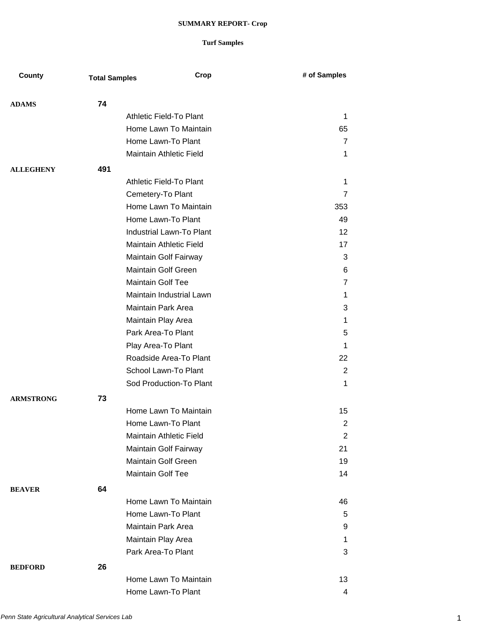| County           | <b>Total Samples</b> | Crop                            | # of Samples   |
|------------------|----------------------|---------------------------------|----------------|
| <b>ADAMS</b>     | 74                   |                                 |                |
|                  |                      | <b>Athletic Field-To Plant</b>  | 1              |
|                  |                      | Home Lawn To Maintain           | 65             |
|                  |                      | Home Lawn-To Plant              | 7              |
|                  |                      | Maintain Athletic Field         | 1              |
| <b>ALLEGHENY</b> | 491                  |                                 |                |
|                  |                      | Athletic Field-To Plant         | 1              |
|                  |                      | Cemetery-To Plant               | $\overline{7}$ |
|                  |                      | Home Lawn To Maintain           | 353            |
|                  |                      | Home Lawn-To Plant              | 49             |
|                  |                      | <b>Industrial Lawn-To Plant</b> | 12             |
|                  |                      | Maintain Athletic Field         | 17             |
|                  |                      |                                 |                |
|                  |                      | Maintain Golf Fairway           | 3              |
|                  |                      | Maintain Golf Green             | 6              |
|                  |                      | <b>Maintain Golf Tee</b>        | 7              |
|                  |                      | Maintain Industrial Lawn        | 1              |
|                  |                      | Maintain Park Area              | 3              |
|                  |                      | Maintain Play Area              | 1              |
|                  |                      | Park Area-To Plant              | 5              |
|                  |                      | Play Area-To Plant              | 1              |
|                  |                      | Roadside Area-To Plant          | 22             |
|                  |                      | School Lawn-To Plant            | 2              |
|                  |                      | Sod Production-To Plant         | 1              |
| <b>ARMSTRONG</b> | 73                   |                                 |                |
|                  |                      | Home Lawn To Maintain           | 15             |
|                  |                      | Home Lawn-To Plant              | 2              |
|                  |                      | Maintain Athletic Field         | $\overline{2}$ |
|                  |                      | Maintain Golf Fairway           | 21             |
|                  |                      | <b>Maintain Golf Green</b>      | 19             |
|                  |                      | Maintain Golf Tee               | 14             |
| <b>BEAVER</b>    | 64                   |                                 |                |
|                  |                      | Home Lawn To Maintain           | 46             |
|                  |                      | Home Lawn-To Plant              | 5              |
|                  |                      | Maintain Park Area              | 9              |
|                  |                      | Maintain Play Area              | 1              |
|                  |                      | Park Area-To Plant              | 3              |
| <b>BEDFORD</b>   | 26                   |                                 |                |
|                  |                      | Home Lawn To Maintain           | 13             |
|                  |                      | Home Lawn-To Plant              | 4              |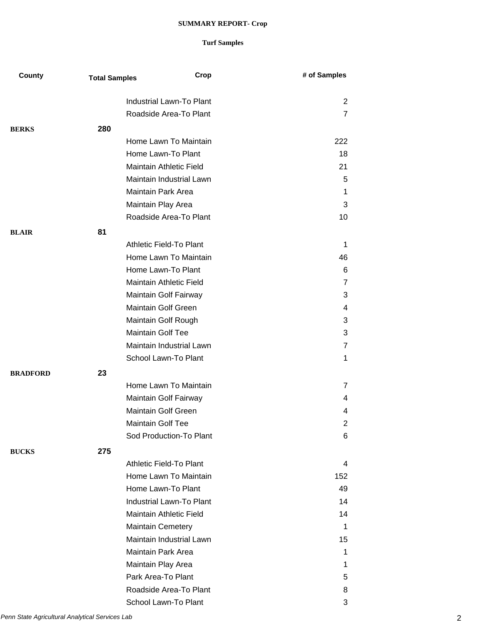| County          | <b>Total Samples</b> | Crop                       | # of Samples |
|-----------------|----------------------|----------------------------|--------------|
|                 |                      | Industrial Lawn-To Plant   | 2            |
|                 |                      | Roadside Area-To Plant     | 7            |
|                 |                      |                            |              |
| <b>BERKS</b>    | 280                  |                            |              |
|                 |                      | Home Lawn To Maintain      | 222          |
|                 |                      | Home Lawn-To Plant         | 18           |
|                 |                      | Maintain Athletic Field    | 21           |
|                 |                      | Maintain Industrial Lawn   | 5            |
|                 |                      | Maintain Park Area         | 1            |
|                 |                      | Maintain Play Area         | 3            |
|                 |                      | Roadside Area-To Plant     | 10           |
| <b>BLAIR</b>    | 81                   |                            |              |
|                 |                      | Athletic Field-To Plant    | 1            |
|                 |                      | Home Lawn To Maintain      | 46           |
|                 |                      | Home Lawn-To Plant         | 6            |
|                 |                      | Maintain Athletic Field    | 7            |
|                 |                      | Maintain Golf Fairway      | 3            |
|                 |                      | <b>Maintain Golf Green</b> | 4            |
|                 |                      | Maintain Golf Rough        | 3            |
|                 |                      | <b>Maintain Golf Tee</b>   | 3            |
|                 |                      | Maintain Industrial Lawn   | 7            |
|                 |                      | School Lawn-To Plant       | 1            |
| <b>BRADFORD</b> | 23                   |                            |              |
|                 |                      | Home Lawn To Maintain      | 7            |
|                 |                      | Maintain Golf Fairway      | 4            |
|                 |                      | <b>Maintain Golf Green</b> |              |
|                 |                      |                            | 4            |
|                 |                      | Maintain Golf Tee          | 2            |
|                 |                      | Sod Production-To Plant    | 6            |
| <b>BUCKS</b>    | 275                  |                            |              |
|                 |                      | Athletic Field-To Plant    | 4            |
|                 |                      | Home Lawn To Maintain      | 152          |
|                 |                      | Home Lawn-To Plant         | 49           |
|                 |                      | Industrial Lawn-To Plant   | 14           |
|                 |                      | Maintain Athletic Field    | 14           |
|                 |                      | <b>Maintain Cemetery</b>   | 1            |
|                 |                      | Maintain Industrial Lawn   | 15           |
|                 |                      | Maintain Park Area         | 1            |
|                 |                      | Maintain Play Area         | 1            |
|                 |                      | Park Area-To Plant         | 5            |
|                 |                      | Roadside Area-To Plant     | 8            |
|                 |                      | School Lawn-To Plant       | 3            |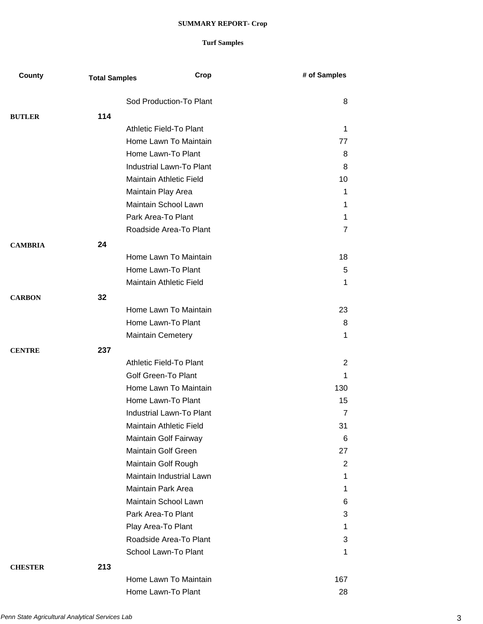| County         | <b>Total Samples</b> | Crop                            | # of Samples   |
|----------------|----------------------|---------------------------------|----------------|
|                |                      | Sod Production-To Plant         | 8              |
| <b>BUTLER</b>  | 114                  |                                 |                |
|                |                      | Athletic Field-To Plant         | 1              |
|                |                      | Home Lawn To Maintain           | 77             |
|                |                      | Home Lawn-To Plant              | 8              |
|                |                      | Industrial Lawn-To Plant        | 8              |
|                |                      | Maintain Athletic Field         | 10             |
|                |                      | Maintain Play Area              | 1              |
|                |                      | Maintain School Lawn            | 1              |
|                |                      | Park Area-To Plant              | 1              |
|                |                      | Roadside Area-To Plant          | $\overline{7}$ |
| <b>CAMBRIA</b> | 24                   |                                 |                |
|                |                      | Home Lawn To Maintain           | 18             |
|                |                      | Home Lawn-To Plant              | 5              |
|                |                      | Maintain Athletic Field         | 1              |
| <b>CARBON</b>  | 32                   |                                 |                |
|                |                      | Home Lawn To Maintain           | 23             |
|                |                      | Home Lawn-To Plant              | 8              |
|                |                      | <b>Maintain Cemetery</b>        | 1              |
| <b>CENTRE</b>  | 237                  |                                 |                |
|                |                      | Athletic Field-To Plant         | 2              |
|                |                      | <b>Golf Green-To Plant</b>      | 1              |
|                |                      | Home Lawn To Maintain           | 130            |
|                |                      | Home Lawn-To Plant              | 15             |
|                |                      | Industrial Lawn-To Plant        | $\overline{7}$ |
|                |                      | <b>Maintain Athletic Field</b>  | 31             |
|                |                      | Maintain Golf Fairway           | 6              |
|                |                      | Maintain Golf Green             | 27             |
|                |                      | Maintain Golf Rough             | 2              |
|                |                      | <b>Maintain Industrial Lawn</b> | 1              |
|                |                      | Maintain Park Area              | 1              |
|                |                      | Maintain School Lawn            | 6              |
|                |                      | Park Area-To Plant              | 3              |
|                |                      | Play Area-To Plant              | 1              |
|                |                      | Roadside Area-To Plant          | 3              |
|                |                      | School Lawn-To Plant            | 1              |
| <b>CHESTER</b> | 213                  |                                 |                |
|                |                      | Home Lawn To Maintain           | 167            |
|                |                      | Home Lawn-To Plant              | 28             |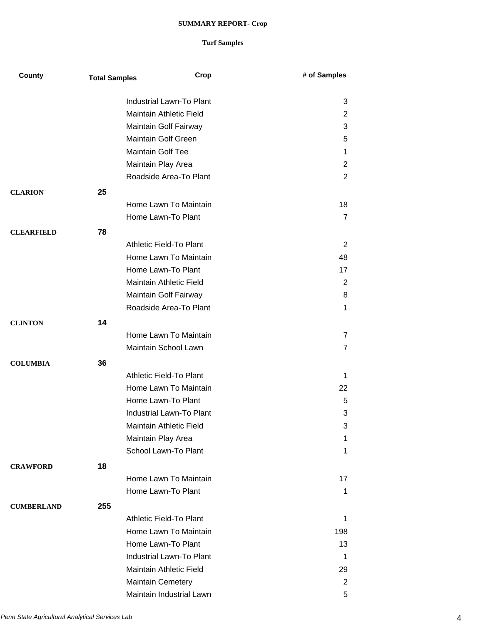| County            | <b>Total Samples</b> | Crop                       | # of Samples   |
|-------------------|----------------------|----------------------------|----------------|
|                   |                      | Industrial Lawn-To Plant   | 3              |
|                   |                      | Maintain Athletic Field    | $\overline{2}$ |
|                   |                      | Maintain Golf Fairway      | 3              |
|                   |                      | <b>Maintain Golf Green</b> | 5              |
|                   |                      | <b>Maintain Golf Tee</b>   | 1              |
|                   |                      | Maintain Play Area         | 2              |
|                   |                      | Roadside Area-To Plant     | 2              |
| <b>CLARION</b>    | 25                   |                            |                |
|                   |                      | Home Lawn To Maintain      | 18             |
|                   |                      | Home Lawn-To Plant         | 7              |
|                   |                      |                            |                |
| <b>CLEARFIELD</b> | 78                   |                            |                |
|                   |                      | Athletic Field-To Plant    | 2              |
|                   |                      | Home Lawn To Maintain      | 48             |
|                   |                      | Home Lawn-To Plant         | 17             |
|                   |                      | Maintain Athletic Field    | 2              |
|                   |                      | Maintain Golf Fairway      | 8              |
|                   |                      | Roadside Area-To Plant     | 1              |
| <b>CLINTON</b>    | 14                   |                            |                |
|                   |                      | Home Lawn To Maintain      | $\overline{7}$ |
|                   |                      | Maintain School Lawn       | $\overline{7}$ |
| <b>COLUMBIA</b>   | 36                   |                            |                |
|                   |                      | Athletic Field-To Plant    | 1              |
|                   |                      | Home Lawn To Maintain      | 22             |
|                   |                      | Home Lawn-To Plant         | 5              |
|                   |                      | Industrial Lawn-To Plant   | 3              |
|                   |                      | Maintain Athletic Field    | 3              |
|                   |                      | Maintain Play Area         | 1              |
|                   |                      | School Lawn-To Plant       | 1              |
| <b>CRAWFORD</b>   | 18                   |                            |                |
|                   |                      | Home Lawn To Maintain      | 17             |
|                   |                      | Home Lawn-To Plant         | 1              |
| <b>CUMBERLAND</b> | 255                  |                            |                |
|                   |                      | Athletic Field-To Plant    | 1              |
|                   |                      | Home Lawn To Maintain      | 198            |
|                   |                      | Home Lawn-To Plant         | 13             |
|                   |                      | Industrial Lawn-To Plant   | 1              |
|                   |                      | Maintain Athletic Field    | 29             |
|                   |                      | <b>Maintain Cemetery</b>   | 2              |
|                   |                      | Maintain Industrial Lawn   | 5              |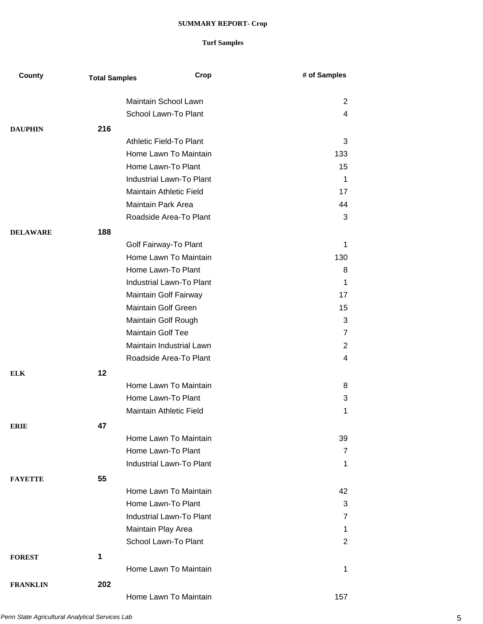| County          | <b>Total Samples</b> | Crop                            | # of Samples   |
|-----------------|----------------------|---------------------------------|----------------|
|                 |                      | Maintain School Lawn            |                |
|                 |                      | School Lawn-To Plant            | $\overline{2}$ |
|                 |                      |                                 | 4              |
| <b>DAUPHIN</b>  | 216                  |                                 |                |
|                 |                      | Athletic Field-To Plant         | 3              |
|                 |                      | Home Lawn To Maintain           | 133            |
|                 |                      | Home Lawn-To Plant              | 15             |
|                 |                      | <b>Industrial Lawn-To Plant</b> | 1              |
|                 |                      | Maintain Athletic Field         | 17             |
|                 |                      | Maintain Park Area              | 44             |
|                 |                      | Roadside Area-To Plant          | 3              |
| <b>DELAWARE</b> | 188                  |                                 |                |
|                 |                      | Golf Fairway-To Plant           | 1              |
|                 |                      | Home Lawn To Maintain           | 130            |
|                 |                      | Home Lawn-To Plant              | 8              |
|                 |                      | Industrial Lawn-To Plant        | 1              |
|                 |                      | Maintain Golf Fairway           | 17             |
|                 |                      | <b>Maintain Golf Green</b>      | 15             |
|                 |                      | Maintain Golf Rough             | 3              |
|                 |                      | <b>Maintain Golf Tee</b>        | 7              |
|                 |                      | Maintain Industrial Lawn        | $\overline{2}$ |
|                 |                      | Roadside Area-To Plant          | 4              |
| <b>ELK</b>      | 12                   |                                 |                |
|                 |                      | Home Lawn To Maintain           | 8              |
|                 |                      | Home Lawn-To Plant              | 3              |
|                 |                      | Maintain Athletic Field         | 1              |
| <b>ERIE</b>     | 47                   |                                 |                |
|                 |                      | Home Lawn To Maintain           | 39             |
|                 |                      | Home Lawn-To Plant              | 7              |
|                 |                      | Industrial Lawn-To Plant        | 1              |
|                 | 55                   |                                 |                |
| <b>FAYETTE</b>  |                      | Home Lawn To Maintain           | 42             |
|                 |                      | Home Lawn-To Plant              | 3              |
|                 |                      | <b>Industrial Lawn-To Plant</b> | 7              |
|                 |                      |                                 |                |
|                 |                      | Maintain Play Area              | 1              |
|                 |                      | School Lawn-To Plant            | $\overline{2}$ |
| <b>FOREST</b>   | 1                    |                                 |                |
|                 |                      | Home Lawn To Maintain           | 1              |
| <b>FRANKLIN</b> | 202                  |                                 |                |
|                 |                      | Home Lawn To Maintain           | 157            |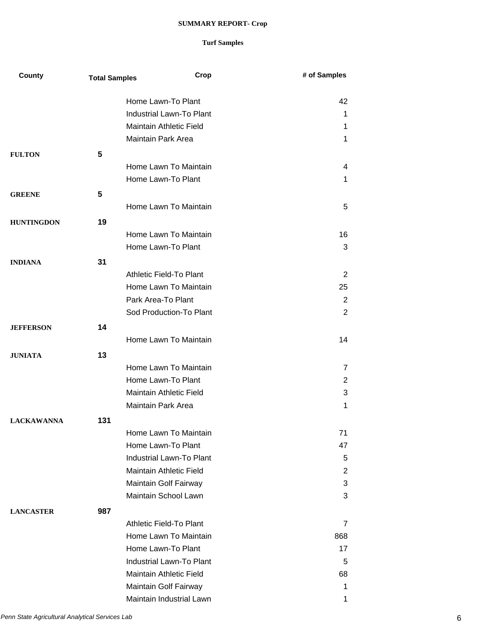| County            | <b>Total Samples</b> | Crop                            | # of Samples   |
|-------------------|----------------------|---------------------------------|----------------|
|                   |                      | Home Lawn-To Plant              | 42             |
|                   |                      | <b>Industrial Lawn-To Plant</b> | 1              |
|                   |                      | Maintain Athletic Field         | 1              |
|                   |                      | Maintain Park Area              | 1              |
| <b>FULTON</b>     | 5                    |                                 |                |
|                   |                      | Home Lawn To Maintain           | 4              |
|                   |                      | Home Lawn-To Plant              | 1              |
| <b>GREENE</b>     | 5                    |                                 |                |
|                   |                      | Home Lawn To Maintain           | 5              |
|                   | 19                   |                                 |                |
| <b>HUNTINGDON</b> |                      | Home Lawn To Maintain           | 16             |
|                   |                      | Home Lawn-To Plant              | 3              |
|                   |                      |                                 |                |
| <b>INDIANA</b>    | 31                   |                                 |                |
|                   |                      | Athletic Field-To Plant         | 2              |
|                   |                      | Home Lawn To Maintain           | 25             |
|                   |                      | Park Area-To Plant              | $\overline{2}$ |
|                   |                      | Sod Production-To Plant         | $\overline{2}$ |
| <b>JEFFERSON</b>  | 14                   |                                 |                |
|                   |                      | Home Lawn To Maintain           | 14             |
| <b>JUNIATA</b>    | 13                   |                                 |                |
|                   |                      | Home Lawn To Maintain           | 7              |
|                   |                      | Home Lawn-To Plant              | $\overline{2}$ |
|                   |                      | Maintain Athletic Field         | 3              |
|                   |                      | Maintain Park Area              | 1              |
| <b>LACKAWANNA</b> | 131                  |                                 |                |
|                   |                      | Home Lawn To Maintain           | 71             |
|                   |                      | Home Lawn-To Plant              | 47             |
|                   |                      | <b>Industrial Lawn-To Plant</b> | 5              |
|                   |                      | Maintain Athletic Field         | $\overline{2}$ |
|                   |                      | Maintain Golf Fairway           | 3              |
|                   |                      | Maintain School Lawn            | 3              |
| <b>LANCASTER</b>  | 987                  |                                 |                |
|                   |                      | Athletic Field-To Plant         | 7              |
|                   |                      | Home Lawn To Maintain           | 868            |
|                   |                      | Home Lawn-To Plant              | 17             |
|                   |                      | Industrial Lawn-To Plant        | 5              |
|                   |                      | Maintain Athletic Field         | 68             |
|                   |                      | Maintain Golf Fairway           | 1              |
|                   |                      | Maintain Industrial Lawn        | 1              |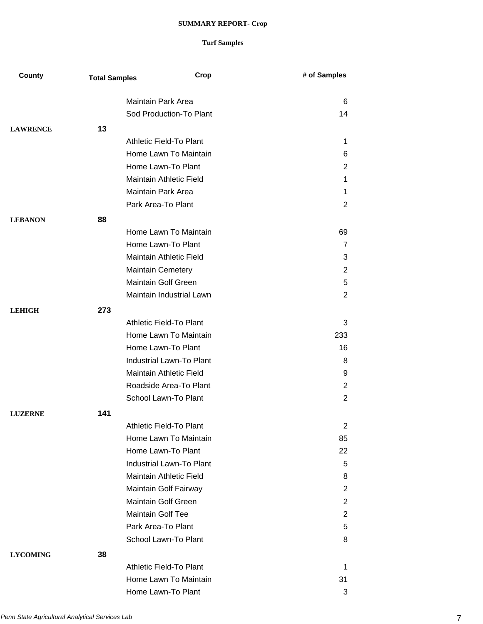| County          | <b>Total Samples</b>     | Crop                            | # of Samples   |
|-----------------|--------------------------|---------------------------------|----------------|
|                 |                          | <b>Maintain Park Area</b>       | 6              |
|                 |                          | Sod Production-To Plant         | 14             |
|                 |                          |                                 |                |
| <b>LAWRENCE</b> | 13                       |                                 |                |
|                 |                          | Athletic Field-To Plant         | $\mathbf 1$    |
|                 |                          | Home Lawn To Maintain           | 6              |
|                 |                          | Home Lawn-To Plant              | $\overline{2}$ |
|                 |                          | Maintain Athletic Field         | 1              |
|                 |                          | Maintain Park Area              | 1              |
|                 |                          | Park Area-To Plant              | $\overline{2}$ |
| <b>LEBANON</b>  | 88                       |                                 |                |
|                 |                          | Home Lawn To Maintain           | 69             |
|                 |                          | Home Lawn-To Plant              | $\overline{7}$ |
|                 |                          | Maintain Athletic Field         | 3              |
|                 |                          | <b>Maintain Cemetery</b>        | $\overline{2}$ |
|                 |                          | Maintain Golf Green             | 5              |
|                 |                          | Maintain Industrial Lawn        | $\overline{2}$ |
| <b>LEHIGH</b>   | 273                      |                                 |                |
|                 |                          | Athletic Field-To Plant         | 3              |
|                 |                          | Home Lawn To Maintain           | 233            |
|                 |                          | Home Lawn-To Plant              | 16             |
|                 |                          | Industrial Lawn-To Plant        | 8              |
|                 |                          | Maintain Athletic Field         | 9              |
|                 |                          | Roadside Area-To Plant          | $\overline{2}$ |
|                 |                          | School Lawn-To Plant            | $\overline{2}$ |
| <b>LUZERNE</b>  | 141                      |                                 |                |
|                 |                          | Athletic Field-To Plant         | 2              |
|                 |                          | Home Lawn To Maintain           | 85             |
|                 |                          | Home Lawn-To Plant              | 22             |
|                 |                          | <b>Industrial Lawn-To Plant</b> | 5              |
|                 |                          | Maintain Athletic Field         | 8              |
|                 |                          | Maintain Golf Fairway           | 2              |
|                 |                          | <b>Maintain Golf Green</b>      | $\overline{2}$ |
|                 | <b>Maintain Golf Tee</b> |                                 | 2              |
|                 |                          | Park Area-To Plant              | 5              |
|                 |                          | School Lawn-To Plant            | 8              |
| <b>LYCOMING</b> | 38                       |                                 |                |
|                 |                          | Athletic Field-To Plant         | 1              |
|                 |                          | Home Lawn To Maintain           | 31             |
|                 |                          | Home Lawn-To Plant              | 3              |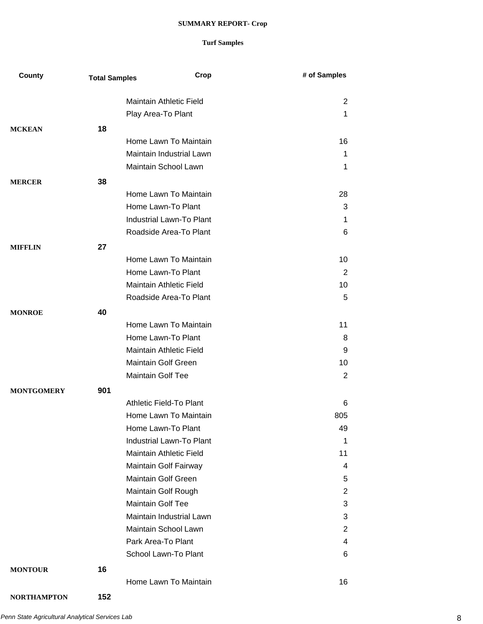| County             | <b>Total Samples</b> | Crop                            | # of Samples |
|--------------------|----------------------|---------------------------------|--------------|
|                    |                      | Maintain Athletic Field         | 2            |
|                    |                      | Play Area-To Plant              | 1            |
|                    |                      |                                 |              |
| <b>MCKEAN</b>      | 18                   | Home Lawn To Maintain           | 16           |
|                    |                      | Maintain Industrial Lawn        | 1            |
|                    |                      | Maintain School Lawn            | 1            |
|                    |                      |                                 |              |
| <b>MERCER</b>      | 38                   |                                 |              |
|                    |                      | Home Lawn To Maintain           | 28           |
|                    |                      | Home Lawn-To Plant              | 3            |
|                    |                      | Industrial Lawn-To Plant        | 1            |
|                    |                      | Roadside Area-To Plant          | 6            |
| <b>MIFFLIN</b>     | 27                   |                                 |              |
|                    |                      | Home Lawn To Maintain           | 10           |
|                    |                      | Home Lawn-To Plant              | 2            |
|                    |                      | <b>Maintain Athletic Field</b>  | 10           |
|                    |                      | Roadside Area-To Plant          | 5            |
| <b>MONROE</b>      | 40                   |                                 |              |
|                    |                      | Home Lawn To Maintain           | 11           |
|                    |                      | Home Lawn-To Plant              | 8            |
|                    |                      | <b>Maintain Athletic Field</b>  | 9            |
|                    |                      | <b>Maintain Golf Green</b>      | 10           |
|                    |                      | Maintain Golf Tee               | 2            |
| <b>MONTGOMERY</b>  | 901                  |                                 |              |
|                    |                      | Athletic Field-To Plant         | 6            |
|                    |                      | Home Lawn To Maintain           | 805          |
|                    |                      | Home Lawn-To Plant              | 49           |
|                    |                      | <b>Industrial Lawn-To Plant</b> | 1            |
|                    |                      | <b>Maintain Athletic Field</b>  | 11           |
|                    |                      | Maintain Golf Fairway           | 4            |
|                    |                      | <b>Maintain Golf Green</b>      | 5            |
|                    |                      | Maintain Golf Rough             | 2            |
|                    |                      | <b>Maintain Golf Tee</b>        | 3            |
|                    |                      | Maintain Industrial Lawn        | 3            |
|                    |                      | Maintain School Lawn            | 2            |
|                    |                      | Park Area-To Plant              | 4            |
|                    |                      | School Lawn-To Plant            | 6            |
| <b>MONTOUR</b>     | 16                   |                                 |              |
|                    |                      | Home Lawn To Maintain           | 16           |
| <b>NORTHAMPTON</b> | 152                  |                                 |              |
|                    |                      |                                 |              |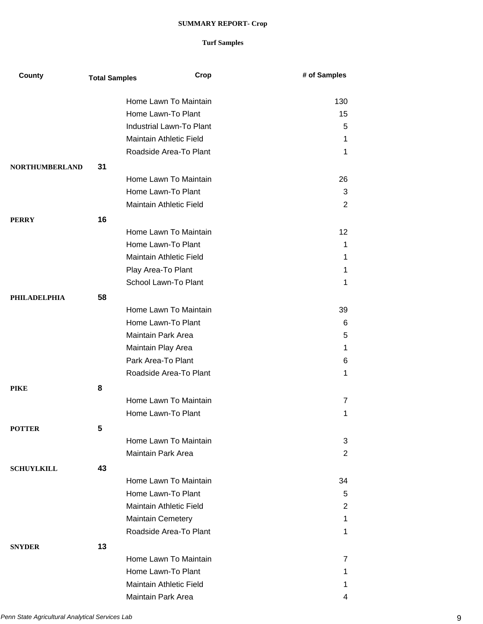| County                | <b>Total Samples</b> | Crop                      | # of Samples   |
|-----------------------|----------------------|---------------------------|----------------|
|                       |                      | Home Lawn To Maintain     | 130            |
|                       |                      | Home Lawn-To Plant        | 15             |
|                       |                      | Industrial Lawn-To Plant  | 5              |
|                       |                      | Maintain Athletic Field   | 1              |
|                       |                      | Roadside Area-To Plant    | 1              |
|                       |                      |                           |                |
| <b>NORTHUMBERLAND</b> | 31                   |                           |                |
|                       |                      | Home Lawn To Maintain     | 26             |
|                       |                      | Home Lawn-To Plant        | 3              |
|                       |                      | Maintain Athletic Field   | $\overline{2}$ |
| <b>PERRY</b>          | 16                   |                           |                |
|                       |                      | Home Lawn To Maintain     | 12             |
|                       |                      | Home Lawn-To Plant        | 1              |
|                       |                      | Maintain Athletic Field   | 1              |
|                       |                      | Play Area-To Plant        | 1              |
|                       |                      | School Lawn-To Plant      | 1              |
| <b>PHILADELPHIA</b>   | 58                   |                           |                |
|                       |                      | Home Lawn To Maintain     | 39             |
|                       |                      | Home Lawn-To Plant        | 6              |
|                       |                      | Maintain Park Area        | 5              |
|                       |                      | Maintain Play Area        | 1              |
|                       |                      | Park Area-To Plant        | 6              |
|                       |                      | Roadside Area-To Plant    | 1              |
| <b>PIKE</b>           | 8                    |                           |                |
|                       |                      | Home Lawn To Maintain     | $\overline{7}$ |
|                       |                      | Home Lawn-To Plant        | 1              |
| <b>POTTER</b>         | 5                    |                           |                |
|                       |                      | Home Lawn To Maintain     | 3              |
|                       |                      | <b>Maintain Park Area</b> | $\overline{2}$ |
|                       |                      |                           |                |
| <b>SCHUYLKILL</b>     | 43                   | Home Lawn To Maintain     |                |
|                       |                      |                           | 34             |
|                       |                      | Home Lawn-To Plant        | 5              |
|                       |                      | Maintain Athletic Field   | 2              |
|                       |                      | <b>Maintain Cemetery</b>  | 1              |
|                       |                      | Roadside Area-To Plant    | 1              |
| <b>SNYDER</b>         | 13                   |                           |                |
|                       |                      | Home Lawn To Maintain     | 7              |
|                       |                      | Home Lawn-To Plant        | 1              |
|                       |                      | Maintain Athletic Field   | 1.             |
|                       |                      | Maintain Park Area        | 4              |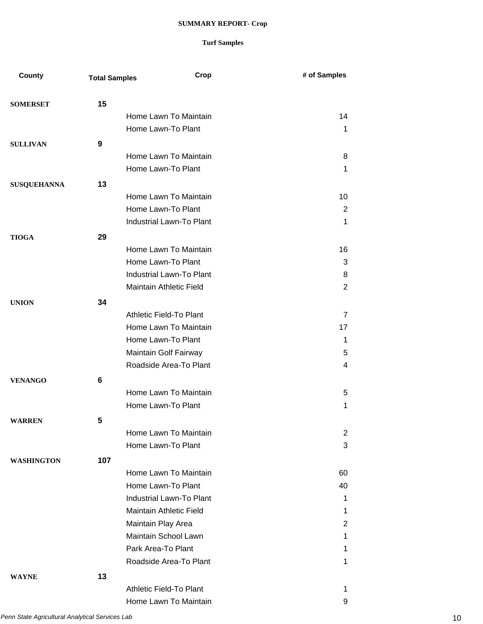| County             | <b>Total Samples</b> | Crop                            | # of Samples   |
|--------------------|----------------------|---------------------------------|----------------|
| <b>SOMERSET</b>    | 15                   |                                 |                |
|                    |                      | Home Lawn To Maintain           | 14             |
|                    |                      | Home Lawn-To Plant              | 1              |
| <b>SULLIVAN</b>    | 9                    |                                 |                |
|                    |                      | Home Lawn To Maintain           | 8              |
|                    |                      | Home Lawn-To Plant              | 1              |
|                    | 13                   |                                 |                |
| <b>SUSQUEHANNA</b> |                      | Home Lawn To Maintain           | 10             |
|                    |                      | Home Lawn-To Plant              | 2              |
|                    |                      | Industrial Lawn-To Plant        | 1              |
|                    |                      |                                 |                |
| <b>TIOGA</b>       | 29                   |                                 |                |
|                    |                      | Home Lawn To Maintain           | 16             |
|                    |                      | Home Lawn-To Plant              | 3              |
|                    |                      | Industrial Lawn-To Plant        | 8              |
|                    |                      | Maintain Athletic Field         | 2              |
| <b>UNION</b>       | 34                   |                                 |                |
|                    |                      | Athletic Field-To Plant         | $\overline{7}$ |
|                    |                      | Home Lawn To Maintain           | 17             |
|                    |                      | Home Lawn-To Plant              | 1              |
|                    |                      | Maintain Golf Fairway           | 5              |
|                    |                      | Roadside Area-To Plant          | 4              |
| <b>VENANGO</b>     | 6                    |                                 |                |
|                    |                      | Home Lawn To Maintain           | 5              |
|                    |                      | Home Lawn-To Plant              | 1              |
| <b>WARREN</b>      | 5                    |                                 |                |
|                    |                      | Home Lawn To Maintain           | 2              |
|                    |                      | Home Lawn-To Plant              | 3              |
| <b>WASHINGTON</b>  | 107                  |                                 |                |
|                    |                      | Home Lawn To Maintain           | 60             |
|                    |                      | Home Lawn-To Plant              | 40             |
|                    |                      | <b>Industrial Lawn-To Plant</b> | 1              |
|                    |                      | <b>Maintain Athletic Field</b>  | 1              |
|                    |                      | Maintain Play Area              | 2              |
|                    |                      | Maintain School Lawn            | 1              |
|                    |                      | Park Area-To Plant              | 1              |
|                    |                      | Roadside Area-To Plant          | 1              |
| <b>WAYNE</b>       | 13                   |                                 |                |
|                    |                      | Athletic Field-To Plant         | 1              |
|                    |                      | Home Lawn To Maintain           | 9              |